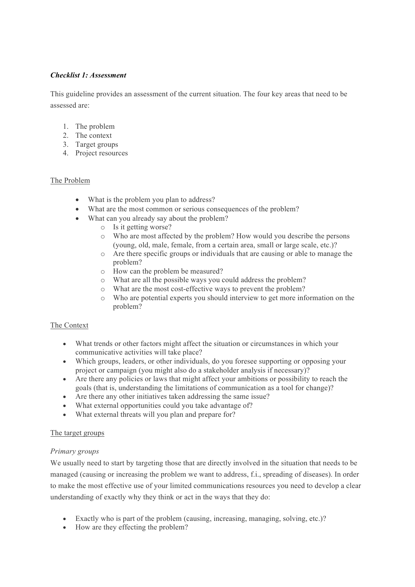# *Checklist 1: Assessment*

This guideline provides an assessment of the current situation. The four key areas that need to be assessed are:

- 1. The problem
- 2. The context
- 3. Target groups
- 4. Project resources

## The Problem

- What is the problem you plan to address?
- What are the most common or serious consequences of the problem?
- What can you already say about the problem?
	- o Is it getting worse?
		- o Who are most affected by the problem? How would you describe the persons (young, old, male, female, from a certain area, small or large scale, etc.)?
		- o Are there specific groups or individuals that are causing or able to manage the problem?
		- o How can the problem be measured?
		- o What are all the possible ways you could address the problem?
		- o What are the most cost-effective ways to prevent the problem?
		- o Who are potential experts you should interview to get more information on the problem?

#### The Context

- What trends or other factors might affect the situation or circumstances in which your communicative activities will take place?
- Which groups, leaders, or other individuals, do you foresee supporting or opposing your project or campaign (you might also do a stakeholder analysis if necessary)?
- Are there any policies or laws that might affect your ambitions or possibility to reach the goals (that is, understanding the limitations of communication as a tool for change)?
- Are there any other initiatives taken addressing the same issue?
- What external opportunities could you take advantage of?
- What external threats will you plan and prepare for?

## The target groups

#### *Primary groups*

We usually need to start by targeting those that are directly involved in the situation that needs to be managed (causing or increasing the problem we want to address, f.i., spreading of diseases). In order to make the most effective use of your limited communications resources you need to develop a clear understanding of exactly why they think or act in the ways that they do:

- Exactly who is part of the problem (causing, increasing, managing, solving, etc.)?
- How are they effecting the problem?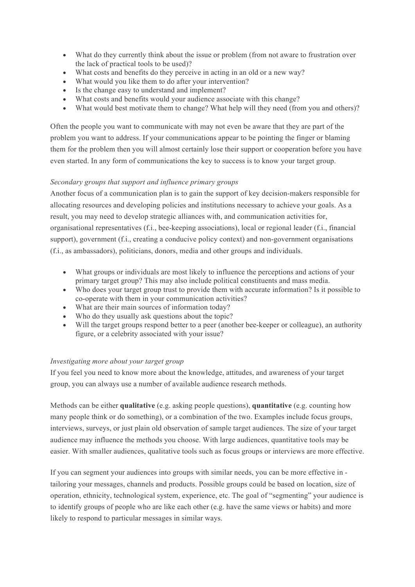- What do they currently think about the issue or problem (from not aware to frustration over the lack of practical tools to be used)?
- What costs and benefits do they perceive in acting in an old or a new way?
- What would you like them to do after your intervention?
- Is the change easy to understand and implement?
- What costs and benefits would your audience associate with this change?
- What would best motivate them to change? What help will they need (from you and others)?

Often the people you want to communicate with may not even be aware that they are part of the problem you want to address. If your communications appear to be pointing the finger or blaming them for the problem then you will almost certainly lose their support or cooperation before you have even started. In any form of communications the key to success is to know your target group.

# *Secondary groups that support and influence primary groups*

Another focus of a communication plan is to gain the support of key decision-makers responsible for allocating resources and developing policies and institutions necessary to achieve your goals. As a result, you may need to develop strategic alliances with, and communication activities for, organisational representatives (f.i., bee-keeping associations), local or regional leader (f.i., financial support), government (f.i., creating a conducive policy context) and non-government organisations (f.i., as ambassadors), politicians, donors, media and other groups and individuals.

- What groups or individuals are most likely to influence the perceptions and actions of your primary target group? This may also include political constituents and mass media.
- Who does your target group trust to provide them with accurate information? Is it possible to co-operate with them in your communication activities?
- What are their main sources of information today?
- Who do they usually ask questions about the topic?
- Will the target groups respond better to a peer (another bee-keeper or colleague), an authority figure, or a celebrity associated with your issue?

# *Investigating more about your target group*

If you feel you need to know more about the knowledge, attitudes, and awareness of your target group, you can always use a number of available audience research methods.

Methods can be either **qualitative** (e.g. asking people questions), **quantitative** (e.g. counting how many people think or do something), or a combination of the two. Examples include focus groups, interviews, surveys, or just plain old observation of sample target audiences. The size of your target audience may influence the methods you choose. With large audiences, quantitative tools may be easier. With smaller audiences, qualitative tools such as focus groups or interviews are more effective.

If you can segment your audiences into groups with similar needs, you can be more effective in tailoring your messages, channels and products. Possible groups could be based on location, size of operation, ethnicity, technological system, experience, etc. The goal of "segmenting" your audience is to identify groups of people who are like each other (e.g. have the same views or habits) and more likely to respond to particular messages in similar ways.